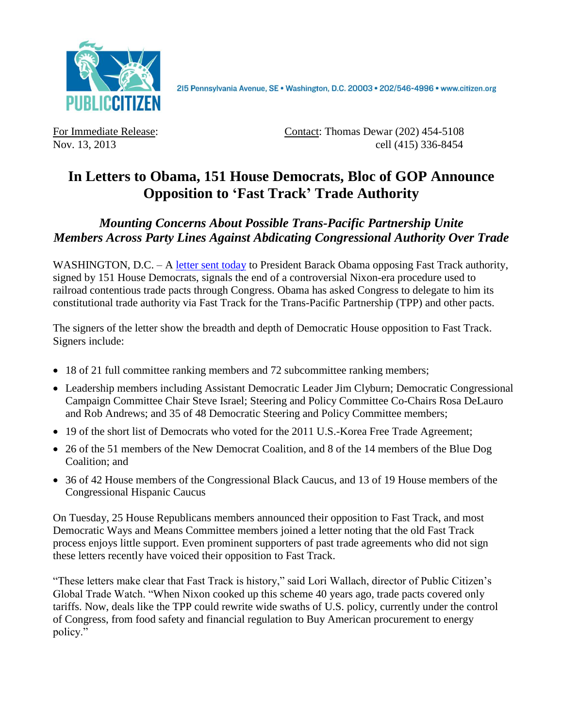

For Immediate Release: Contact: Thomas Dewar (202) 454-5108 Nov. 13, 2013 cell (415) 336-8454

## **In Letters to Obama, 151 House Democrats, Bloc of GOP Announce Opposition to 'Fast Track' Trade Authority**

## *Mounting Concerns About Possible Trans-Pacific Partnership Unite Members Across Party Lines Against Abdicating Congressional Authority Over Trade*

WASHINGTON, D.C. – A [letter sent](http://delauro.house.gov/index.php?option=com_content&view=article&id=1455:delauro-miller-lead-151-house-dems-telling-president-they-will-not-support-outdated-fast-track-for-trans-pacific-partnership&catid=2&Itemid=21) today to President Barack Obama opposing Fast Track authority, signed by 151 House Democrats, signals the end of a controversial Nixon-era procedure used to railroad contentious trade pacts through Congress. Obama has asked Congress to delegate to him its constitutional trade authority via Fast Track for the Trans-Pacific Partnership (TPP) and other pacts.

The signers of the letter show the breadth and depth of Democratic House opposition to Fast Track. Signers include:

- 18 of 21 full committee ranking members and 72 subcommittee ranking members;
- Leadership members including Assistant Democratic Leader Jim Clyburn; Democratic Congressional Campaign Committee Chair Steve Israel; Steering and Policy Committee Co-Chairs Rosa DeLauro and Rob Andrews; and 35 of 48 Democratic Steering and Policy Committee members;
- 19 of the short list of Democrats who voted for the 2011 U.S.-Korea Free Trade Agreement;
- 26 of the 51 members of the New Democrat Coalition, and 8 of the 14 members of the Blue Dog Coalition; and
- 36 of 42 House members of the Congressional Black Caucus, and 13 of 19 House members of the Congressional Hispanic Caucus

On Tuesday, 25 House Republicans members announced their opposition to Fast Track, and most Democratic Ways and Means Committee members joined a letter noting that the old Fast Track process enjoys little support. Even prominent supporters of past trade agreements who did not sign these letters recently have voiced their opposition to Fast Track.

"These letters make clear that Fast Track is history," said Lori Wallach, director of Public Citizen's Global Trade Watch. "When Nixon cooked up this scheme 40 years ago, trade pacts covered only tariffs. Now, deals like the TPP could rewrite wide swaths of U.S. policy, currently under the control of Congress, from food safety and financial regulation to Buy American procurement to energy policy."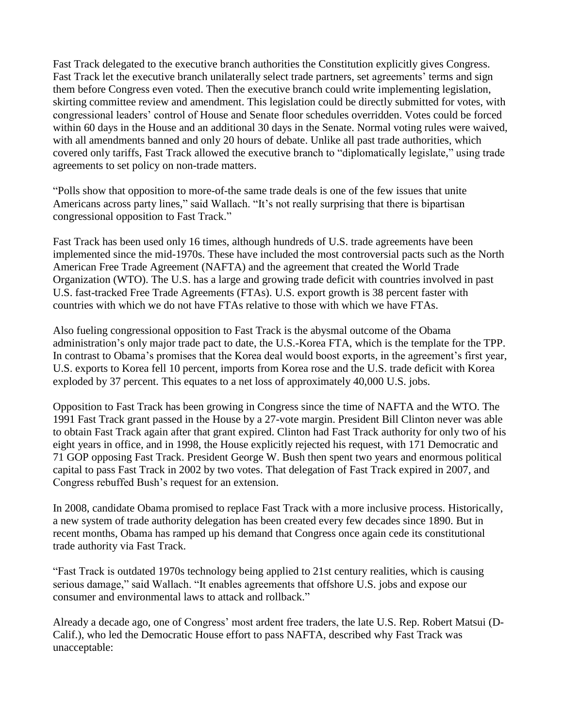Fast Track delegated to the executive branch authorities the Constitution explicitly gives Congress. Fast Track let the executive branch unilaterally select trade partners, set agreements' terms and sign them before Congress even voted. Then the executive branch could write implementing legislation, skirting committee review and amendment. This legislation could be directly submitted for votes, with congressional leaders' control of House and Senate floor schedules overridden. Votes could be forced within 60 days in the House and an additional 30 days in the Senate. Normal voting rules were waived, with all amendments banned and only 20 hours of debate. Unlike all past trade authorities, which covered only tariffs, Fast Track allowed the executive branch to "diplomatically legislate," using trade agreements to set policy on non-trade matters.

"Polls show that opposition to more-of-the same trade deals is one of the few issues that unite Americans across party lines," said Wallach. "It's not really surprising that there is bipartisan congressional opposition to Fast Track."

Fast Track has been used only 16 times, although hundreds of U.S. trade agreements have been implemented since the mid-1970s. These have included the most controversial pacts such as the North American Free Trade Agreement (NAFTA) and the agreement that created the World Trade Organization (WTO). The U.S. has a large and growing trade deficit with countries involved in past U.S. fast-tracked Free Trade Agreements (FTAs). U.S. export growth is 38 percent faster with countries with which we do not have FTAs relative to those with which we have FTAs.

Also fueling congressional opposition to Fast Track is the abysmal outcome of the Obama administration's only major trade pact to date, the U.S.-Korea FTA, which is the template for the TPP. In contrast to Obama's promises that the Korea deal would boost exports, in the agreement's first year, U.S. exports to Korea fell 10 percent, imports from Korea rose and the U.S. trade deficit with Korea exploded by 37 percent. This equates to a net loss of approximately 40,000 U.S. jobs.

Opposition to Fast Track has been growing in Congress since the time of NAFTA and the WTO. The 1991 Fast Track grant passed in the House by a 27-vote margin. President Bill Clinton never was able to obtain Fast Track again after that grant expired. Clinton had Fast Track authority for only two of his eight years in office, and in 1998, the House explicitly rejected his request, with 171 Democratic and 71 GOP opposing Fast Track. President George W. Bush then spent two years and enormous political capital to pass Fast Track in 2002 by two votes. That delegation of Fast Track expired in 2007, and Congress rebuffed Bush's request for an extension.

In 2008, candidate Obama promised to replace Fast Track with a more inclusive process. Historically, a new system of trade authority delegation has been created every few decades since 1890. But in recent months, Obama has ramped up his demand that Congress once again cede its constitutional trade authority via Fast Track.

"Fast Track is outdated 1970s technology being applied to 21st century realities, which is causing serious damage," said Wallach. "It enables agreements that offshore U.S. jobs and expose our consumer and environmental laws to attack and rollback."

Already a decade ago, one of Congress' most ardent free traders, the late U.S. Rep. Robert Matsui (D-Calif.), who led the Democratic House effort to pass NAFTA, described why Fast Track was unacceptable: